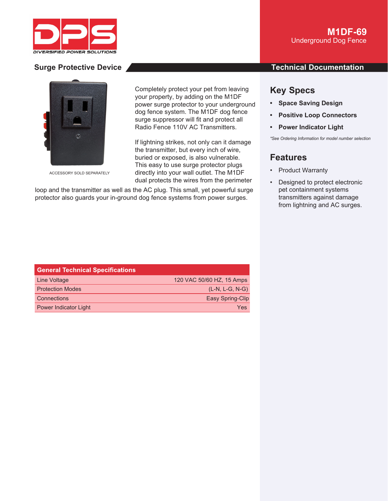



ACCESSORY SOLD SEPARATELY

Completely protect your pet from leaving Complete your property, by adding on the M1DF prop power surge protector to your underground dog fence system. The M1DF dog fence dog fence surge suppressor will fit and protect all Radio Fence 110V AC Transmitters. Fe

If lightning strikes, not only can it damage lightnin the transmitter, but every inch of wire, buried or exposed, is also vulnerable. This easy to use surge protector plugs easy directly into your wall outlet. The M1DF dual protects the wires from the perimeter dual prote

loop and the transmitter as well as the AC plug. This small, yet powerful surge protector also guards your in-ground dog fence systems from power surges.

## **Surge Protective Device And According to the Contract Occupation Contract Occupation**

# **Key Specs**

- **Space Saving Design**
- **Positive Loop Connectors**
- **Power Indicator Light**

*\*See Ordering Information for model number selection*

# **Features**

- Product Warranty
- Designed to protect electronic pet containment systems transmitters against damage from lightning and AC surges.

| <b>General Technical Specifications</b> |                           |
|-----------------------------------------|---------------------------|
| Line Voltage                            | 120 VAC 50/60 HZ, 15 Amps |
| <b>Protection Modes</b>                 | $(L-N, L-G, N-G)$         |
| <b>Connections</b>                      | Easy Spring-Clip          |
| <b>Power Indicator Light</b>            | Yes                       |